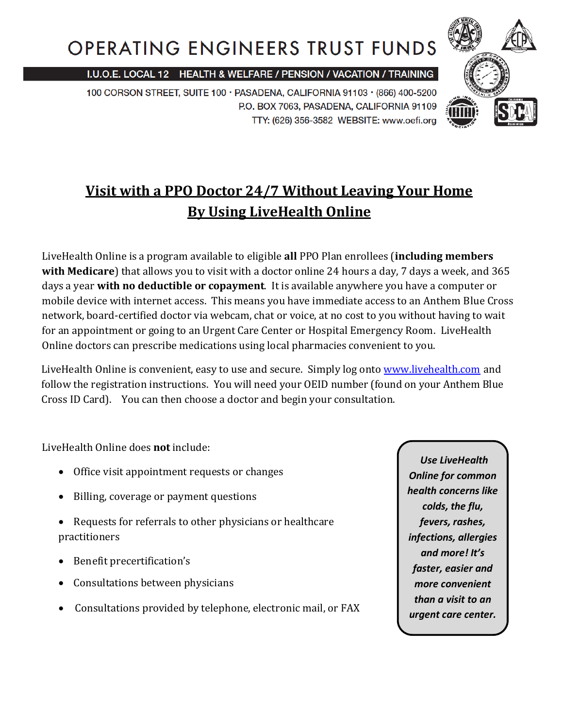# **OPERATING ENGINEERS TRUST FUNDS**

I.U.O.E. LOCAL 12 HEALTH & WELFARE / PENSION / VACATION / TRAINING

100 CORSON STREET, SUITE 100 · PASADENA, CALIFORNIA 91103 · (866) 400-5200 P.O. BOX 7063, PASADENA, CALIFORNIA 91109 TTY: (626) 356-3582 WEBSITE: www.oefi.org



## **Visit with a PPO Doctor 24/7 Without Leaving Your Home By Using LiveHealth Online**

LiveHealth Online is a program available to eligible **all** PPO Plan enrollees (**including members with Medicare**) that allows you to visit with a doctor online 24 hours a day, 7 days a week, and 365 days a year **with no deductible or copayment**. It is available anywhere you have a computer or mobile device with internet access. This means you have immediate access to an Anthem Blue Cross network, board-certified doctor via webcam, chat or voice, at no cost to you without having to wait for an appointment or going to an Urgent Care Center or Hospital Emergency Room. LiveHealth Online doctors can prescribe medications using local pharmacies convenient to you.

LiveHealth Online is convenient, easy to use and secure. Simply log onto [www.livehealth.com](http://www.livehealth.com/) and follow the registration instructions. You will need your OEID number (found on your Anthem Blue Cross ID Card). You can then choose a doctor and begin your consultation.

LiveHealth Online does **not** include:

- Office visit appointment requests or changes
- Billing, coverage or payment questions
- Requests for referrals to other physicians or healthcare practitioners
- Benefit precertification's
- Consultations between physicians
- Consultations provided by telephone, electronic mail, or FAX

*Use LiveHealth Online for common health concerns like colds, the flu, fevers, rashes, infections, allergies and more! It's faster, easier and more convenient than a visit to an urgent care center.*